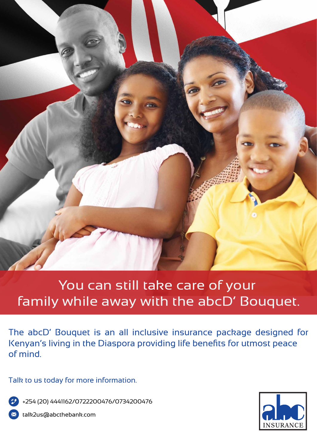

## You can still take care of your family while away with the abcD' Bouquet.

The abcD' Bouquet is an all inclusive insurance package designed for Kenyan's living in the Diaspora providing life benefits for utmost peace of mind.

Talk to us today for more information.

+254 (20) 4441162/0722200476/0734200476

talk2us@abcthebank.com